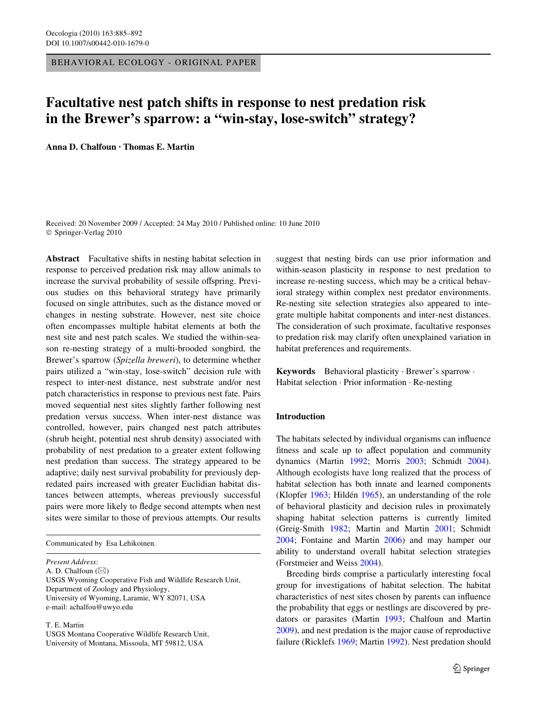BEHAVIORAL ECOLOGY - ORIGINAL PAPER

# **Facultative nest patch shifts in response to nest predation risk in the Brewer's sparrow: a "win-stay, lose-switch" strategy?**

**Anna D. Chalfoun · Thomas E. Martin** 

Received: 20 November 2009 / Accepted: 24 May 2010 / Published online: 10 June 2010 © Springer-Verlag 2010

**Abstract** Facultative shifts in nesting habitat selection in response to perceived predation risk may allow animals to increase the survival probability of sessile offspring. Previous studies on this behavioral strategy have primarily focused on single attributes, such as the distance moved or changes in nesting substrate. However, nest site choice often encompasses multiple habitat elements at both the nest site and nest patch scales. We studied the within-season re-nesting strategy of a multi-brooded songbird, the Brewer's sparrow (*Spizella breweri*), to determine whether pairs utilized a "win-stay, lose-switch" decision rule with respect to inter-nest distance, nest substrate and/or nest patch characteristics in response to previous nest fate. Pairs moved sequential nest sites slightly farther following nest predation versus success. When inter-nest distance was controlled, however, pairs changed nest patch attributes (shrub height, potential nest shrub density) associated with probability of nest predation to a greater extent following nest predation than success. The strategy appeared to be adaptive; daily nest survival probability for previously depredated pairs increased with greater Euclidian habitat distances between attempts, whereas previously successful pairs were more likely to fledge second attempts when nest sites were similar to those of previous attempts. Our results

Communicated by Esa Lehikoinen.

*Present Address:*

A. D. Chalfoun  $(\boxtimes)$ 

USGS Wyoming Cooperative Fish and Wildlife Research Unit, Department of Zoology and Physiology, University of Wyoming, Laramie, WY 82071, USA e-mail: achalfou@uwyo.edu

T. E. Martin

USGS Montana Cooperative Wildlife Research Unit, University of Montana, Missoula, MT 59812, USA

suggest that nesting birds can use prior information and within-season plasticity in response to nest predation to increase re-nesting success, which may be a critical behavioral strategy within complex nest predator environments. Re-nesting site selection strategies also appeared to integrate multiple habitat components and inter-nest distances. The consideration of such proximate, facultative responses to predation risk may clarify often unexplained variation in habitat preferences and requirements.

**Keywords** Behavioral plasticity · Brewer's sparrow · Habitat selection · Prior information · Re-nesting

## **Introduction**

The habitats selected by individual organisms can influence fitness and scale up to affect population and community dynamics (Martin [1992;](#page-7-0) Morris [2003;](#page-7-1) Schmidt [2004](#page-7-2)). Although ecologists have long realized that the process of habitat selection has both innate and learned components (Klopfer [1963;](#page-7-3) Hildén [1965](#page-6-0)), an understanding of the role of behavioral plasticity and decision rules in proximately shaping habitat selection patterns is currently limited (Greig-Smith [1982;](#page-6-1) Martin and Martin [2001;](#page-7-4) Schmidt [2004](#page-7-2); Fontaine and Martin [2006\)](#page-6-2) and may hamper our ability to understand overall habitat selection strategies (Forstmeier and Weiss [2004](#page-6-3)).

Breeding birds comprise a particularly interesting focal group for investigations of habitat selection. The habitat characteristics of nest sites chosen by parents can influence the probability that eggs or nestlings are discovered by predators or parasites (Martin [1993](#page-7-5); Chalfoun and Martin [2009](#page-6-4)), and nest predation is the major cause of reproductive failure (Ricklefs [1969;](#page-7-6) Martin [1992](#page-7-0)). Nest predation should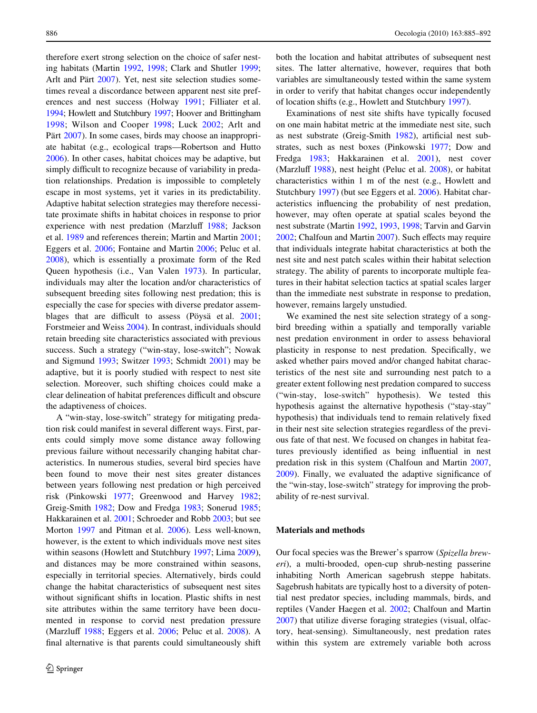therefore exert strong selection on the choice of safer nesting habitats (Martin [1992,](#page-7-0) [1998;](#page-7-7) Clark and Shutler [1999](#page-6-5); Arlt and Pärt [2007](#page-6-6)). Yet, nest site selection studies sometimes reveal a discordance between apparent nest site preferences and nest success (Holway [1991](#page-6-7); Filliater et al. [1994](#page-6-8); Howlett and Stutchbury [1997;](#page-6-9) Hoover and Brittingham [1998;](#page-6-10) Wilson and Cooper [1998](#page-7-8); Luck [2002;](#page-7-9) Arlt and Pärt [2007\)](#page-6-6). In some cases, birds may choose an inappropriate habitat (e.g., ecological traps—Robertson and Hutto [2006](#page-7-10)). In other cases, habitat choices may be adaptive, but simply difficult to recognize because of variability in predation relationships. Predation is impossible to completely escape in most systems, yet it varies in its predictability. Adaptive habitat selection strategies may therefore necessitate proximate shifts in habitat choices in response to prior experience with nest predation (Marzluff [1988;](#page-7-11) Jackson et al. [1989](#page-6-11) and references therein; Martin and Martin [2001](#page-7-4); Eggers et al. [2006](#page-6-12); Fontaine and Martin [2006;](#page-6-2) Peluc et al. [2008](#page-7-12)), which is essentially a proximate form of the Red Queen hypothesis (i.e., Van Valen [1973](#page-7-13)). In particular, individuals may alter the location and/or characteristics of subsequent breeding sites following nest predation; this is especially the case for species with diverse predator assemblages that are difficult to assess (Pöysä et al.  $2001$ ; Forstmeier and Weiss [2004](#page-6-3)). In contrast, individuals should retain breeding site characteristics associated with previous success. Such a strategy ("win-stay, lose-switch"; Nowak and Sigmund [1993;](#page-7-15) Switzer [1993;](#page-7-16) Schmidt [2001](#page-7-17)) may be adaptive, but it is poorly studied with respect to nest site selection. Moreover, such shifting choices could make a clear delineation of habitat preferences difficult and obscure the adaptiveness of choices.

A "win-stay, lose-switch" strategy for mitigating predation risk could manifest in several different ways. First, parents could simply move some distance away following previous failure without necessarily changing habitat characteristics. In numerous studies, several bird species have been found to move their nest sites greater distances between years following nest predation or high perceived risk (Pinkowski [1977](#page-7-18); Greenwood and Harvey [1982](#page-6-13); Greig-Smith [1982;](#page-6-1) Dow and Fredga [1983](#page-6-14); Sonerud [1985](#page-7-19); Hakkarainen et al. [2001;](#page-6-15) Schroeder and Robb [2003;](#page-7-20) but see Morton [1997](#page-7-21) and Pitman et al. [2006\)](#page-7-22). Less well-known, however, is the extent to which individuals move nest sites within seasons (Howlett and Stutchbury [1997](#page-6-9); Lima [2009](#page-7-23)), and distances may be more constrained within seasons, especially in territorial species. Alternatively, birds could change the habitat characteristics of subsequent nest sites without significant shifts in location. Plastic shifts in nest site attributes within the same territory have been documented in response to corvid nest predation pressure (Marzluff [1988;](#page-7-11) Eggers et al. [2006](#page-6-12); Peluc et al. [2008](#page-7-12)). A final alternative is that parents could simultaneously shift both the location and habitat attributes of subsequent nest sites. The latter alternative, however, requires that both variables are simultaneously tested within the same system in order to verify that habitat changes occur independently of location shifts (e.g., Howlett and Stutchbury [1997\)](#page-6-9).

Examinations of nest site shifts have typically focused on one main habitat metric at the immediate nest site, such as nest substrate (Greig-Smith [1982\)](#page-6-1), artificial nest substrates, such as nest boxes (Pinkowski [1977](#page-7-18); Dow and Fredga [1983;](#page-6-14) Hakkarainen et al. [2001\)](#page-6-15), nest cover (Marzluff [1988](#page-7-11)), nest height (Peluc et al. [2008](#page-7-12)), or habitat characteristics within 1 m of the nest (e.g., Howlett and Stutchbury [1997](#page-6-9)) (but see Eggers et al. [2006\)](#page-6-12). Habitat characteristics influencing the probability of nest predation, however, may often operate at spatial scales beyond the nest substrate (Martin [1992,](#page-7-0) [1993,](#page-7-5) [1998](#page-7-7); Tarvin and Garvin  $2002$ : Chalfoun and Martin  $2007$ ). Such effects may require that individuals integrate habitat characteristics at both the nest site and nest patch scales within their habitat selection strategy. The ability of parents to incorporate multiple features in their habitat selection tactics at spatial scales larger than the immediate nest substrate in response to predation, however, remains largely unstudied.

We examined the nest site selection strategy of a songbird breeding within a spatially and temporally variable nest predation environment in order to assess behavioral plasticity in response to nest predation. Specifically, we asked whether pairs moved and/or changed habitat characteristics of the nest site and surrounding nest patch to a greater extent following nest predation compared to success ("win-stay, lose-switch" hypothesis). We tested this hypothesis against the alternative hypothesis ("stay-stay" hypothesis) that individuals tend to remain relatively fixed in their nest site selection strategies regardless of the previous fate of that nest. We focused on changes in habitat features previously identified as being influential in nest predation risk in this system (Chalfoun and Martin [2007,](#page-6-16)  $2009$ ). Finally, we evaluated the adaptive significance of the "win-stay, lose-switch" strategy for improving the probability of re-nest survival.

## **Materials and methods**

Our focal species was the Brewer's sparrow (*Spizella breweri*), a multi-brooded, open-cup shrub-nesting passerine inhabiting North American sagebrush steppe habitats. Sagebrush habitats are typically host to a diversity of potential nest predator species, including mammals, birds, and reptiles (Vander Haegen et al. [2002](#page-7-25); Chalfoun and Martin [2007](#page-6-16)) that utilize diverse foraging strategies (visual, olfactory, heat-sensing). Simultaneously, nest predation rates within this system are extremely variable both across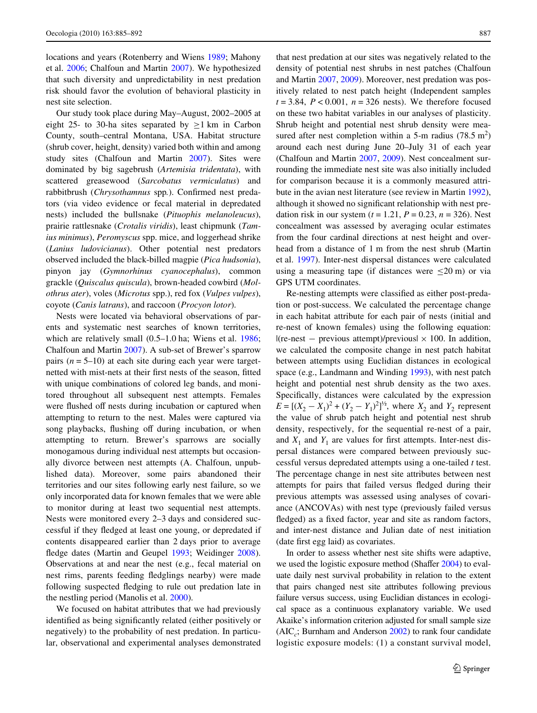locations and years (Rotenberry and Wiens [1989;](#page-7-26) Mahony et al. [2006;](#page-7-27) Chalfoun and Martin [2007\)](#page-6-16). We hypothesized that such diversity and unpredictability in nest predation risk should favor the evolution of behavioral plasticity in nest site selection.

Our study took place during May–August, 2002–2005 at eight 25- to 30-ha sites separated by  $>1$  km in Carbon County, south–central Montana, USA. Habitat structure (shrub cover, height, density) varied both within and among study sites (Chalfoun and Martin [2007\)](#page-6-16). Sites were dominated by big sagebrush (*Artemisia tridentata*), with scattered greasewood (*Sarcobatus vermiculatus*) and rabbitbrush (*Chrysothamnus* spp.). Confirmed nest predators (via video evidence or fecal material in depredated nests) included the bullsnake (*Pituophis melanoleucus*), prairie rattlesnake (*Crotalis viridis*), least chipmunk (*Tamius minimus*), *Peromyscus* spp. mice, and loggerhead shrike (*Lanius ludovicianus*). Other potential nest predators observed included the black-billed magpie (*Pica hudsonia*), pinyon jay (*Gymnorhinus cyanocephalus*), common grackle (*Quiscalus quiscula*), brown-headed cowbird (*Molothrus ater*), voles (*Microtus* spp.), red fox (*Vulpes vulpes*), coyote (*Canis latrans*), and raccoon (*Procyon lotor*).

Nests were located via behavioral observations of parents and systematic nest searches of known territories, which are relatively small (0.5–1.0 ha; Wiens et al. [1986](#page-7-28); Chalfoun and Martin [2007\)](#page-6-16). A sub-set of Brewer's sparrow pairs  $(n = 5-10)$  at each site during each year were targetnetted with mist-nets at their first nests of the season, fitted with unique combinations of colored leg bands, and monitored throughout all subsequent nest attempts. Females were flushed off nests during incubation or captured when attempting to return to the nest. Males were captured via song playbacks, flushing off during incubation, or when attempting to return. Brewer's sparrows are socially monogamous during individual nest attempts but occasionally divorce between nest attempts (A. Chalfoun, unpublished data). Moreover, some pairs abandoned their territories and our sites following early nest failure, so we only incorporated data for known females that we were able to monitor during at least two sequential nest attempts. Nests were monitored every 2–3 days and considered successful if they fledged at least one young, or depredated if contents disappeared earlier than 2 days prior to average fledge dates (Martin and Geupel [1993](#page-7-29); Weidinger [2008](#page-7-30)). Observations at and near the nest (e.g., fecal material on nest rims, parents feeding fledglings nearby) were made following suspected fledging to rule out predation late in the nestling period (Manolis et al. [2000](#page-7-31)).

We focused on habitat attributes that we had previously identified as being significantly related (either positively or negatively) to the probability of nest predation. In particular, observational and experimental analyses demonstrated that nest predation at our sites was negatively related to the density of potential nest shrubs in nest patches (Chalfoun and Martin [2007,](#page-6-16) [2009\)](#page-6-4). Moreover, nest predation was positively related to nest patch height (Independent samples  $t = 3.84$ ,  $P < 0.001$ ,  $n = 326$  nests). We therefore focused on these two habitat variables in our analyses of plasticity. Shrub height and potential nest shrub density were measured after nest completion within a 5-m radius  $(78.5 \text{ m}^2)$ around each nest during June 20–July 31 of each year (Chalfoun and Martin [2007](#page-6-16), [2009](#page-6-4)). Nest concealment surrounding the immediate nest site was also initially included for comparison because it is a commonly measured attribute in the avian nest literature (see review in Martin [1992](#page-7-0)), although it showed no significant relationship with nest predation risk in our system (*t* = 1.21, *P* = 0.23, *n* = 326). Nest concealment was assessed by averaging ocular estimates from the four cardinal directions at nest height and overhead from a distance of 1 m from the nest shrub (Martin et al. [1997](#page-7-32)). Inter-nest dispersal distances were calculated using a measuring tape (if distances were  $\leq$ 20 m) or via GPS UTM coordinates.

Re-nesting attempts were classified as either post-predation or post-success. We calculated the percentage change in each habitat attribute for each pair of nests (initial and re-nest of known females) using the following equation:  $|$ (re-nest – previous attempt)/previous $| \times 100$ . In addition, we calculated the composite change in nest patch habitat between attempts using Euclidian distances in ecological space (e.g., Landmann and Winding [1993\)](#page-7-33), with nest patch height and potential nest shrub density as the two axes. Specifically, distances were calculated by the expression  $E = [(X_2 - X_1)^2 + (Y_2 - Y_1)^2]^{1/2}$ , where  $X_2$  and  $Y_2$  represent the value of shrub patch height and potential nest shrub density, respectively, for the sequential re-nest of a pair, and  $X_1$  and  $Y_1$  are values for first attempts. Inter-nest dispersal distances were compared between previously successful versus depredated attempts using a one-tailed *t* test. The percentage change in nest site attributes between nest attempts for pairs that failed versus fledged during their previous attempts was assessed using analyses of covariance (ANCOVAs) with nest type (previously failed versus fledged) as a fixed factor, year and site as random factors, and inter-nest distance and Julian date of nest initiation (date first egg laid) as covariates.

In order to assess whether nest site shifts were adaptive, we used the logistic exposure method (Shaffer  $2004$ ) to evaluate daily nest survival probability in relation to the extent that pairs changed nest site attributes following previous failure versus success, using Euclidian distances in ecological space as a continuous explanatory variable. We used Akaike's information criterion adjusted for small sample size (AIC*c*; Burnham and Anderson [2002](#page-6-17)) to rank four candidate logistic exposure models: (1) a constant survival model,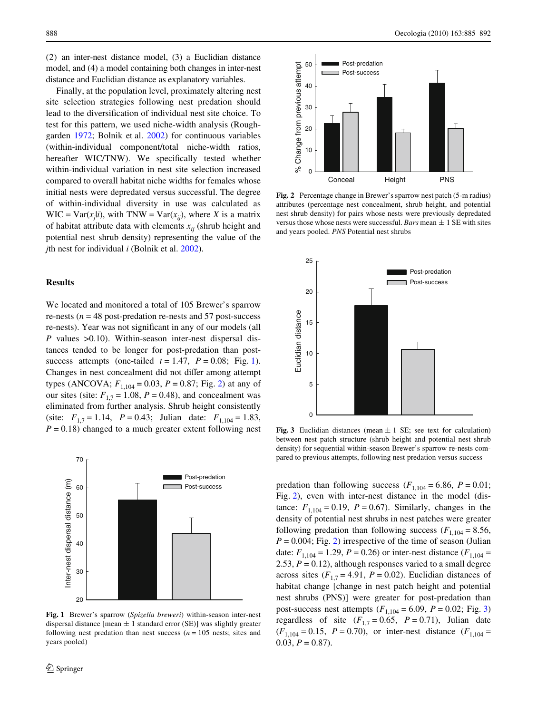(2) an inter-nest distance model, (3) a Euclidian distance model, and (4) a model containing both changes in inter-nest distance and Euclidian distance as explanatory variables.

Finally, at the population level, proximately altering nest site selection strategies following nest predation should lead to the diversification of individual nest site choice. To test for this pattern, we used niche-width analysis (Roughgarden [1972;](#page-7-35) Bolnik et al. [2002\)](#page-6-18) for continuous variables (within-individual component/total niche-width ratios, hereafter WIC/TNW). We specifically tested whether within-individual variation in nest site selection increased compared to overall habitat niche widths for females whose initial nests were depredated versus successful. The degree of within-individual diversity in use was calculated as  $WIC = Var(x_j|i)$ , with  $TNW = Var(x_{ij})$ , where *X* is a matrix of habitat attribute data with elements  $x_{ii}$  (shrub height and potential nest shrub density) representing the value of the *j*th nest for individual *i* (Bolnik et al. [2002](#page-6-18)).

#### **Results**

We located and monitored a total of 105 Brewer's sparrow re-nests ( $n = 48$  post-predation re-nests and 57 post-success re-nests). Year was not significant in any of our models (all *P* values >0.10). Within-season inter-nest dispersal distances tended to be longer for post-predation than postsuccess attempts (one-tailed  $t = 1.47$  $t = 1.47$  $t = 1.47$ ,  $P = 0.08$ ; Fig. 1). Changes in nest concealment did not differ among attempt types (ANCOVA;  $F_{1,104} = 0.03$ ,  $P = 0.87$ ; Fig. [2](#page-3-1)) at any of our sites (site:  $F_{1,7} = 1.08$ ,  $P = 0.48$ ), and concealment was eliminated from further analysis. Shrub height consistently (site:  $F_{1,7} = 1.14$ ,  $P = 0.43$ ; Julian date:  $F_{1,104} = 1.83$ ,  $P = 0.18$ ) changed to a much greater extent following nest



<span id="page-3-0"></span>**Fig. 1** Brewer's sparrow (*Spizella breweri*) within-season inter-nest dispersal distance [mean  $\pm 1$  standard error (SE)] was slightly greater following nest predation than nest success  $(n = 105$  nests; sites and



<span id="page-3-1"></span>**Fig. 2** Percentage change in Brewer's sparrow nest patch (5-m radius) attributes (percentage nest concealment, shrub height, and potential nest shrub density) for pairs whose nests were previously depredated versus those whose nests were successful. *Bars* mean  $\pm$  1 SE with sites



<span id="page-3-2"></span>**Fig. 3** Euclidian distances (mean  $\pm$  1 SE; see text for calculation) between nest patch structure (shrub height and potential nest shrub density) for sequential within-season Brewer's sparrow re-nests com-

predation than following success  $(F_{1,104} = 6.86, P = 0.01;$ Fig. [2\)](#page-3-1), even with inter-nest distance in the model (distance:  $F_{1,104} = 0.19$ ,  $P = 0.67$ ). Similarly, changes in the density of potential nest shrubs in nest patches were greater following predation than following success ( $F_{1,104} = 8.56$ ,  $P = 0.004$ ; Fig. [2](#page-3-1)) irrespective of the time of season (Julian date:  $F_{1,104} = 1.29$ ,  $P = 0.26$ ) or inter-nest distance ( $F_{1,104} =$ 2.53,  $P = 0.12$ ), although responses varied to a small degree across sites  $(F_{1,7} = 4.91, P = 0.02)$ . Euclidian distances of habitat change [change in nest patch height and potential nest shrubs (PNS)] were greater for post-predation than post-success nest attempts  $(F_{1,104} = 6.09, P = 0.02; Fig. 3)$  $(F_{1,104} = 6.09, P = 0.02; Fig. 3)$ regardless of site  $(F_{17} = 0.65, P = 0.71)$ , Julian date  $(F_{1,104} = 0.15, P = 0.70)$ , or inter-nest distance  $(F_{1,104} =$  $0.03, P = 0.87$ .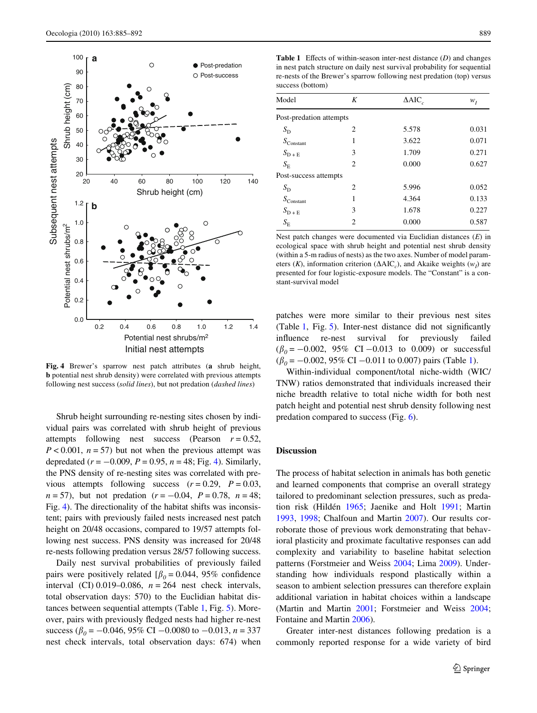

<span id="page-4-0"></span>**Fig. 4** Brewer's sparrow nest patch attributes (**a** shrub height, **b** potential nest shrub density) were correlated with previous attempts following nest success (*solid lines*), but not predation (*dashed lines*)

Shrub height surrounding re-nesting sites chosen by individual pairs was correlated with shrub height of previous attempts following nest success (Pearson  $r = 0.52$ ,  $P < 0.001$ ,  $n = 57$ ) but not when the previous attempt was depredated  $(r = -0.009, P = 0.95, n = 48; Fig. 4)$  $(r = -0.009, P = 0.95, n = 48; Fig. 4)$ . Similarly, the PNS density of re-nesting sites was correlated with previous attempts following success  $(r = 0.29, P = 0.03, P)$  $n = 57$ , but not predation ( $r = -0.04$ ,  $P = 0.78$ ,  $n = 48$ ; Fig. [4](#page-4-0)). The directionality of the habitat shifts was inconsistent; pairs with previously failed nests increased nest patch height on 20/48 occasions, compared to 19/57 attempts following nest success. PNS density was increased for 20/48 re-nests following predation versus 28/57 following success.

Daily nest survival probabilities of previously failed pairs were positively related  $\left[\beta_0 = 0.044, 95\% \text{ confidence}\right]$ interval (CI)  $0.019-0.086$ ,  $n = 264$  nest check intervals, total observation days: 570) to the Euclidian habitat distances between sequential attempts (Table [1](#page-4-1), Fig. [5\)](#page-5-0). Moreover, pairs with previously fledged nests had higher re-nest success ( $\beta_0 = -0.046$ , 95% CI  $-0.0080$  to  $-0.013$ ,  $n = 337$ nest check intervals, total observation days: 674) when

<span id="page-4-1"></span>**Table 1** Effects of within-season inter-nest distance  $(D)$  and changes in nest patch structure on daily nest survival probability for sequential re-nests of the Brewer's sparrow following nest predation (top) versus success (bottom)

| Model                     | K | $\triangle AIC_{c}$ | $W_I$ |
|---------------------------|---|---------------------|-------|
| Post-predation attempts   |   |                     |       |
| $S_{\rm D}$               | 2 | 5.578               | 0.031 |
| $S_{\rm Constant}$        | 1 | 3.622               | 0.071 |
| $S_{\text{D}+E}$          | 3 | 1.709               | 0.271 |
| $S_{\rm E}$               | 2 | 0.000               | 0.627 |
| Post-success attempts     |   |                     |       |
| $S_{\rm D}$               | 2 | 5.996               | 0.052 |
| $S_{\rm Constant}$        | 1 | 4.364               | 0.133 |
| $S_{\text{D} + \text{E}}$ | 3 | 1.678               | 0.227 |
| $S_{\rm E}$               | 2 | 0.000               | 0.587 |

Nest patch changes were documented via Euclidian distances (*E*) in ecological space with shrub height and potential nest shrub density (within a 5-m radius of nests) as the two axes. Number of model parameters  $(K)$ , information criterion  $(\Delta AIC_c)$ , and Akaike weights  $(w_I)$  are presented for four logistic-exposure models. The "Constant" is a constant-survival model

patches were more similar to their previous nest sites (Table [1,](#page-4-1) Fig.  $5$ ). Inter-nest distance did not significantly influence re-nest survival for previously failed  $(\beta_0 = -0.002, 95\% \text{ CI} - 0.013 \text{ to } 0.009) \text{ or successful}$  $(\beta_0 = -0.002, 95\% \text{ CI} - 0.011 \text{ to } 0.007) \text{ pairs (Table 1).}$  $(\beta_0 = -0.002, 95\% \text{ CI} - 0.011 \text{ to } 0.007) \text{ pairs (Table 1).}$  $(\beta_0 = -0.002, 95\% \text{ CI} - 0.011 \text{ to } 0.007) \text{ pairs (Table 1).}$ 

Within-individual component/total niche-width (WIC/ TNW) ratios demonstrated that individuals increased their niche breadth relative to total niche width for both nest patch height and potential nest shrub density following nest predation compared to success (Fig. [6\)](#page-5-1).

## **Discussion**

The process of habitat selection in animals has both genetic and learned components that comprise an overall strategy tailored to predominant selection pressures, such as predation risk (Hildén [1965](#page-6-0); Jaenike and Holt [1991](#page-7-36); Martin [1993](#page-7-5), [1998](#page-7-7); Chalfoun and Martin [2007](#page-6-16)). Our results corroborate those of previous work demonstrating that behavioral plasticity and proximate facultative responses can add complexity and variability to baseline habitat selection patterns (Forstmeier and Weiss [2004](#page-6-3); Lima [2009\)](#page-7-23). Understanding how individuals respond plastically within a season to ambient selection pressures can therefore explain additional variation in habitat choices within a landscape (Martin and Martin [2001;](#page-7-4) Forstmeier and Weiss [2004;](#page-6-3) Fontaine and Martin [2006](#page-6-2)).

Greater inter-nest distances following predation is a commonly reported response for a wide variety of bird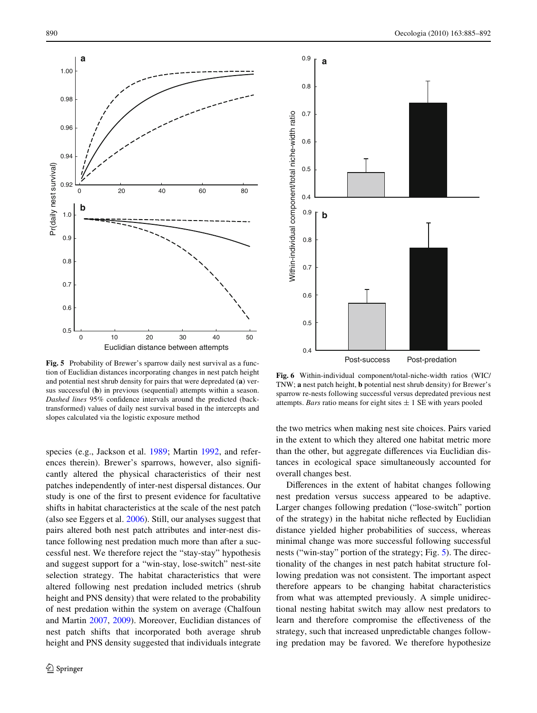

<span id="page-5-0"></span>Fig. 5 Probability of Brewer's sparrow daily nest survival as a function of Euclidian distances incorporating changes in nest patch height and potential nest shrub density for pairs that were depredated (**a**) versus successful (**b**) in previous (sequential) attempts within a season. *Dashed lines* 95% confidence intervals around the predicted (backtransformed) values of daily nest survival based in the intercepts and slopes calculated via the logistic exposure method

species (e.g., Jackson et al. [1989;](#page-6-11) Martin [1992,](#page-7-0) and references therein). Brewer's sparrows, however, also significantly altered the physical characteristics of their nest patches independently of inter-nest dispersal distances. Our study is one of the first to present evidence for facultative shifts in habitat characteristics at the scale of the nest patch (also see Eggers et al. [2006\)](#page-6-12). Still, our analyses suggest that pairs altered both nest patch attributes and inter-nest distance following nest predation much more than after a successful nest. We therefore reject the "stay-stay" hypothesis and suggest support for a "win-stay, lose-switch" nest-site selection strategy. The habitat characteristics that were altered following nest predation included metrics (shrub height and PNS density) that were related to the probability of nest predation within the system on average (Chalfoun and Martin [2007](#page-6-16), [2009\)](#page-6-4). Moreover, Euclidian distances of nest patch shifts that incorporated both average shrub height and PNS density suggested that individuals integrate



<span id="page-5-1"></span>**Fig. 6** Within-individual component/total-niche-width ratios (WIC/ TNW; **a** nest patch height, **b** potential nest shrub density) for Brewer's sparrow re-nests following successful versus depredated previous nest attempts. *Bars* ratio means for eight sites  $\pm 1$  SE with years pooled

the two metrics when making nest site choices. Pairs varied in the extent to which they altered one habitat metric more than the other, but aggregate differences via Euclidian distances in ecological space simultaneously accounted for overall changes best.

Differences in the extent of habitat changes following nest predation versus success appeared to be adaptive. Larger changes following predation ("lose-switch" portion of the strategy) in the habitat niche reflected by Euclidian distance yielded higher probabilities of success, whereas minimal change was more successful following successful nests ("win-stay" portion of the strategy; Fig. [5\)](#page-5-0). The directionality of the changes in nest patch habitat structure following predation was not consistent. The important aspect therefore appears to be changing habitat characteristics from what was attempted previously. A simple unidirectional nesting habitat switch may allow nest predators to learn and therefore compromise the effectiveness of the strategy, such that increased unpredictable changes following predation may be favored. We therefore hypothesize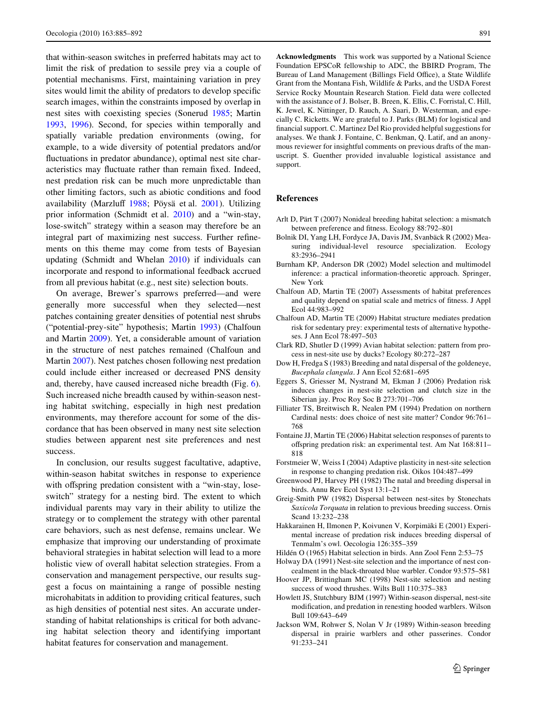that within-season switches in preferred habitats may act to limit the risk of predation to sessile prey via a couple of potential mechanisms. First, maintaining variation in prey sites would limit the ability of predators to develop specific search images, within the constraints imposed by overlap in nest sites with coexisting species (Sonerud [1985;](#page-7-19) Martin [1993](#page-7-5), [1996](#page-7-37)). Second, for species within temporally and spatially variable predation environments (owing, for example, to a wide diversity of potential predators and/or fluctuations in predator abundance), optimal nest site characteristics may fluctuate rather than remain fixed. Indeed, nest predation risk can be much more unpredictable than other limiting factors, such as abiotic conditions and food availability (Marzluff [1988](#page-7-11); Pöysä et al. [2001](#page-7-14)). Utilizing prior information (Schmidt et al. [2010\)](#page-7-38) and a "win-stay, lose-switch" strategy within a season may therefore be an integral part of maximizing nest success. Further refinements on this theme may come from tests of Bayesian updating (Schmidt and Whelan [2010](#page-7-39)) if individuals can incorporate and respond to informational feedback accrued from all previous habitat (e.g., nest site) selection bouts.

On average, Brewer's sparrows preferred—and were generally more successful when they selected—nest patches containing greater densities of potential nest shrubs ("potential-prey-site" hypothesis; Martin [1993](#page-7-5)) (Chalfoun and Martin [2009\)](#page-6-4). Yet, a considerable amount of variation in the structure of nest patches remained (Chalfoun and Martin [2007\)](#page-6-16). Nest patches chosen following nest predation could include either increased or decreased PNS density and, thereby, have caused increased niche breadth (Fig. [6](#page-5-1)). Such increased niche breadth caused by within-season nesting habitat switching, especially in high nest predation environments, may therefore account for some of the discordance that has been observed in many nest site selection studies between apparent nest site preferences and nest success.

In conclusion, our results suggest facultative, adaptive, within-season habitat switches in response to experience with offspring predation consistent with a "win-stay, loseswitch" strategy for a nesting bird. The extent to which individual parents may vary in their ability to utilize the strategy or to complement the strategy with other parental care behaviors, such as nest defense, remains unclear. We emphasize that improving our understanding of proximate behavioral strategies in habitat selection will lead to a more holistic view of overall habitat selection strategies. From a conservation and management perspective, our results suggest a focus on maintaining a range of possible nesting microhabitats in addition to providing critical features, such as high densities of potential nest sites. An accurate understanding of habitat relationships is critical for both advancing habitat selection theory and identifying important habitat features for conservation and management.

**Acknowledgments** This work was supported by a National Science Foundation EPSCoR fellowship to ADC, the BBIRD Program, The Bureau of Land Management (Billings Field Office), a State Wildlife Grant from the Montana Fish, Wildlife & Parks, and the USDA Forest Service Rocky Mountain Research Station. Field data were collected with the assistance of J. Bolser, B. Breen, K. Ellis, C. Forristal, C. Hill, K. Jewel, K. Nittinger, D. Rauch, A. Saari, D. Westerman, and especially C. Ricketts. We are grateful to J. Parks (BLM) for logistical and financial support. C. Martinez Del Rio provided helpful suggestions for analyses. We thank J. Fontaine, C. Benkman, Q. Latif, and an anonymous reviewer for insightful comments on previous drafts of the manuscript. S. Guenther provided invaluable logistical assistance and support.

## **References**

- <span id="page-6-6"></span>Arlt D, Pärt T (2007) Nonideal breeding habitat selection: a mismatch between preference and fitness. Ecology 88:792–801
- <span id="page-6-18"></span>Bolnik DI, Yang LH, Fordyce JA, Davis JM, Svanbäck R (2002) Measuring individual-level resource specialization. Ecology 83:2936–2941
- <span id="page-6-17"></span>Burnham KP, Anderson DR (2002) Model selection and multimodel inference: a practical information-theoretic approach. Springer, New York
- <span id="page-6-16"></span>Chalfoun AD, Martin TE (2007) Assessments of habitat preferences and quality depend on spatial scale and metrics of fitness. J Appl Ecol 44:983–992
- <span id="page-6-4"></span>Chalfoun AD, Martin TE (2009) Habitat structure mediates predation risk for sedentary prey: experimental tests of alternative hypotheses. J Ann Ecol 78:497–503
- <span id="page-6-5"></span>Clark RD, Shutler D (1999) Avian habitat selection: pattern from process in nest-site use by ducks? Ecology 80:272–287
- <span id="page-6-14"></span>Dow H, Fredga S (1983) Breeding and natal dispersal of the goldeneye, *Bucephala clangula*. J Ann Ecol 52:681–695
- <span id="page-6-12"></span>Eggers S, Griesser M, Nystrand M, Ekman J (2006) Predation risk induces changes in nest-site selection and clutch size in the Siberian jay. Proc Roy Soc B 273:701–706
- <span id="page-6-8"></span>Filliater TS, Breitwisch R, Nealen PM (1994) Predation on northern Cardinal nests: does choice of nest site matter? Condor 96:761– 768
- <span id="page-6-2"></span>Fontaine JJ, Martin TE (2006) Habitat selection responses of parents to offspring predation risk: an experimental test. Am Nat 168:811-818
- <span id="page-6-3"></span>Forstmeier W, Weiss I (2004) Adaptive plasticity in nest-site selection in response to changing predation risk. Oikos 104:487–499
- <span id="page-6-13"></span>Greenwood PJ, Harvey PH (1982) The natal and breeding dispersal in birds. Annu Rev Ecol Syst 13:1–21
- <span id="page-6-1"></span>Greig-Smith PW (1982) Dispersal between nest-sites by Stonechats *Saxicola Torquata* in relation to previous breeding success. Ornis Scand 13:232–238
- <span id="page-6-15"></span>Hakkarainen H, Ilmonen P, Koivunen V, Korpimäki E (2001) Experimental increase of predation risk induces breeding dispersal of Tenmalm's owl. Oecologia 126:355–359
- <span id="page-6-0"></span>Hildén O (1965) Habitat selection in birds. Ann Zool Fenn 2:53–75
- <span id="page-6-7"></span>Holway DA (1991) Nest-site selection and the importance of nest concealment in the black-throated blue warbler. Condor 93:575–581
- <span id="page-6-10"></span>Hoover JP, Brittingham MC (1998) Nest-site selection and nesting success of wood thrushes. Wilts Bull 110:375–383
- <span id="page-6-9"></span>Howlett JS, Stutchbury BJM (1997) Within-season dispersal, nest-site modification, and predation in renesting hooded warblers. Wilson Bull 109:643–649
- <span id="page-6-11"></span>Jackson WM, Rohwer S, Nolan V Jr (1989) Within-season breeding dispersal in prairie warblers and other passerines. Condor 91:233–241